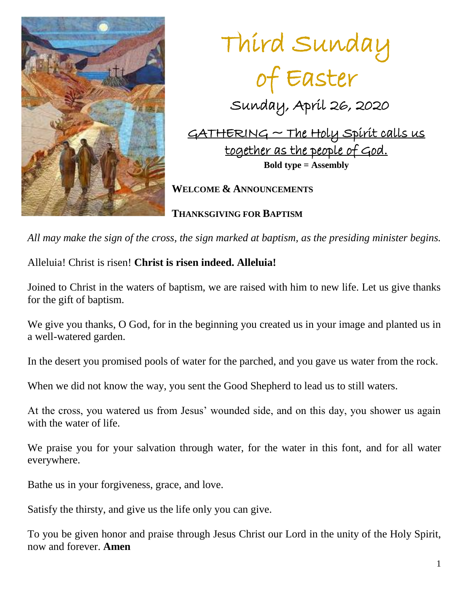

Third Sunday of Easter Sunday, April 26, 2020  $GATHERING \sim The Holy Spirit calls us$ together as the people of God. **Bold type = Assembly WELCOME & ANNOUNCEMENTS**

**THANKSGIVING FOR BAPTISM**

*All may make the sign of the cross, the sign marked at baptism, as the presiding minister begins.*

Alleluia! Christ is risen! **Christ is risen indeed. Alleluia!**

Joined to Christ in the waters of baptism, we are raised with him to new life. Let us give thanks for the gift of baptism.

We give you thanks, O God, for in the beginning you created us in your image and planted us in a well-watered garden.

In the desert you promised pools of water for the parched, and you gave us water from the rock.

When we did not know the way, you sent the Good Shepherd to lead us to still waters.

At the cross, you watered us from Jesus' wounded side, and on this day, you shower us again with the water of life.

We praise you for your salvation through water, for the water in this font, and for all water everywhere.

Bathe us in your forgiveness, grace, and love.

Satisfy the thirsty, and give us the life only you can give.

To you be given honor and praise through Jesus Christ our Lord in the unity of the Holy Spirit, now and forever. **Amen**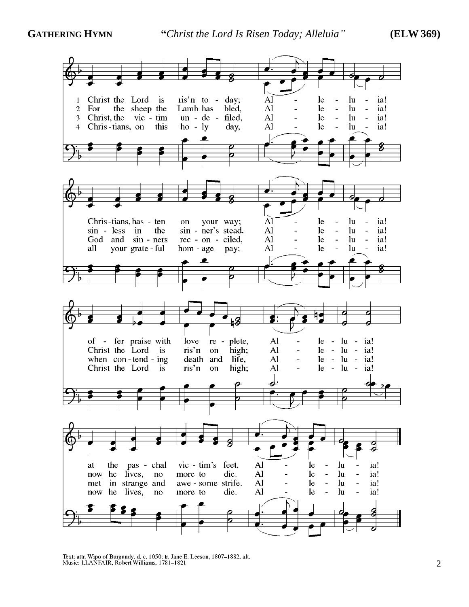

Text: attr. Wipo of Burgundy, d. c. 1050; tr. Jane E. Leeson, 1807–1882, alt.<br>Music: LLANFAIR, Robert Williams, 1781–1821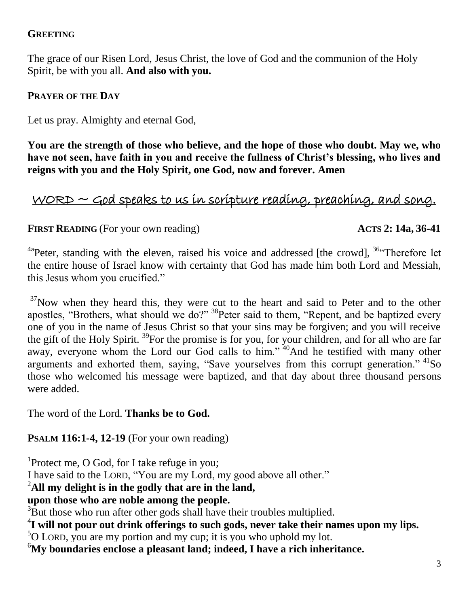## **GREETING**

The grace of our Risen Lord, Jesus Christ, the love of God and the communion of the Holy Spirit, be with you all. **And also with you.**

## **PRAYER OF THE DAY**

Let us pray. Almighty and eternal God,

**You are the strength of those who believe, and the hope of those who doubt. May we, who have not seen, have faith in you and receive the fullness of Christ's blessing, who lives and reigns with you and the Holy Spirit, one God, now and forever. Amen**

# $WORD \sim$  God speaks to us in scripture reading, preaching, and song.

## **FIRST READING** (For your own reading)  $\angle$  **ACTS** 2: 14a, 36-41

<sup>4a</sup>Peter, standing with the eleven, raised his voice and addressed [the crowd],  $36$  Therefore let the entire house of Israel know with certainty that God has made him both Lord and Messiah, this Jesus whom you crucified."

 $37$ Now when they heard this, they were cut to the heart and said to Peter and to the other apostles, "Brothers, what should we do?" <sup>38</sup>Peter said to them, "Repent, and be baptized every one of you in the name of Jesus Christ so that your sins may be forgiven; and you will receive the gift of the Holy Spirit. <sup>39</sup>For the promise is for you, for your children, and for all who are far away, everyone whom the Lord our God calls to him." <sup>40</sup>And he testified with many other arguments and exhorted them, saying, "Save yourselves from this corrupt generation." <sup>41</sup>So those who welcomed his message were baptized, and that day about three thousand persons were added.

The word of the Lord. **Thanks be to God.**

## **PSALM 116:1-4, 12-19** (For your own reading)

<sup>1</sup>Protect me, O God, for I take refuge in you;

I have said to the LORD, "You are my Lord, my good above all other."

## <sup>2</sup>**All my delight is in the godly that are in the land,**

**upon those who are noble among the people.**

<sup>3</sup>But those who run after other gods shall have their troubles multiplied.

4 **I will not pour out drink offerings to such gods, never take their names upon my lips.**

 $5$ O LORD, you are my portion and my cup; it is you who uphold my lot.

<sup>6</sup>**My boundaries enclose a pleasant land; indeed, I have a rich inheritance.**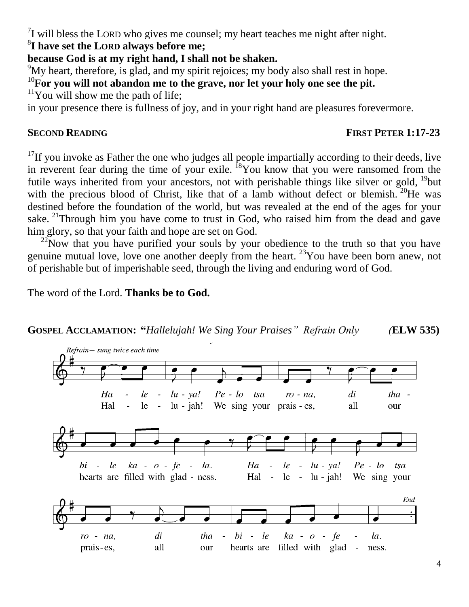$7$ I will bless the LORD who gives me counsel; my heart teaches me night after night.

8 **I have set the LORD always before me;**

**because God is at my right hand, I shall not be shaken.**

 $\mu$ <sup>9</sup>My heart, therefore, is glad, and my spirit rejoices; my body also shall rest in hope.

<sup>10</sup>**For you will not abandon me to the grave, nor let your holy one see the pit.**

 $11$ You will show me the path of life;

in your presence there is fullness of joy, and in your right hand are pleasures forevermore.

## **SECOND READING FIRST PETER 1:17-23**

 $17$ If you invoke as Father the one who judges all people impartially according to their deeds, live in reverent fear during the time of your exile.  $^{18}$ You know that you were ransomed from the futile ways inherited from your ancestors, not with perishable things like silver or gold, <sup>19</sup>but with the precious blood of Christ, like that of a lamb without defect or blemish.  $20$ He was destined before the foundation of the world, but was revealed at the end of the ages for your sake. <sup>21</sup>Through him you have come to trust in God, who raised him from the dead and gave him glory, so that your faith and hope are set on God.

 $22$ Now that you have purified your souls by your obedience to the truth so that you have genuine mutual love, love one another deeply from the heart. <sup>23</sup>You have been born anew, not of perishable but of imperishable seed, through the living and enduring word of God.

The word of the Lord. **Thanks be to God.**

## **GOSPEL ACCLAMATION: "***Hallelujah! We Sing Your Praises" Refrain Only (***ELW 535)**

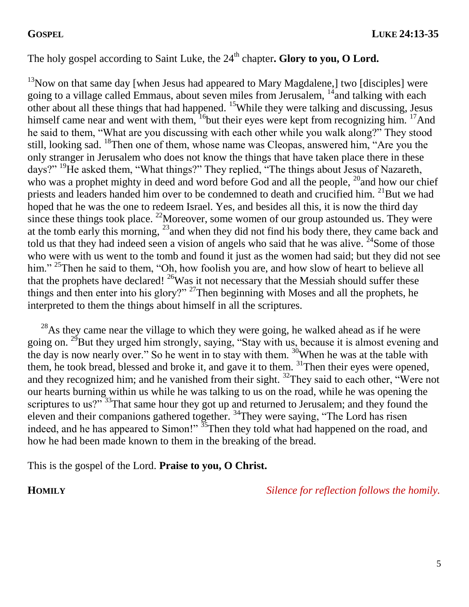## The holy gospel according to Saint Luke, the 24<sup>th</sup> chapter**. Glory to you, O Lord.**

 $13$ Now on that same day [when Jesus had appeared to Mary Magdalene,] two [disciples] were going to a village called Emmaus, about seven miles from Jerusalem,  $14$  and talking with each other about all these things that had happened. <sup>15</sup>While they were talking and discussing, Jesus himself came near and went with them,  $^{16}$ but their eyes were kept from recognizing him.  $^{17}$ And he said to them, "What are you discussing with each other while you walk along?" They stood still, looking sad. <sup>18</sup>Then one of them, whose name was Cleopas, answered him, "Are you the only stranger in Jerusalem who does not know the things that have taken place there in these days?" <sup>19</sup>He asked them, "What things?" They replied, "The things about Jesus of Nazareth, who was a prophet mighty in deed and word before God and all the people,  $^{20}$  and how our chief priests and leaders handed him over to be condemned to death and crucified him. <sup>21</sup>But we had hoped that he was the one to redeem Israel. Yes, and besides all this, it is now the third day since these things took place. <sup>22</sup>Moreover, some women of our group astounded us. They were at the tomb early this morning, <sup>23</sup> and when they did not find his body there, they came back and told us that they had indeed seen a vision of angels who said that he was alive.  $^{24}$ Some of those who were with us went to the tomb and found it just as the women had said; but they did not see him." <sup>25</sup>Then he said to them, "Oh, how foolish you are, and how slow of heart to believe all that the prophets have declared!  $^{26}$ Was it not necessary that the Messiah should suffer these things and then enter into his glory?" <sup>27</sup>Then beginning with Moses and all the prophets, he interpreted to them the things about himself in all the scriptures.

 $^{28}$ As they came near the village to which they were going, he walked ahead as if he were going on. <sup>29</sup>But they urged him strongly, saying, "Stay with us, because it is almost evening and the day is now nearly over." So he went in to stay with them. <sup>30</sup>When he was at the table with them, he took bread, blessed and broke it, and gave it to them. <sup>31</sup>Then their eyes were opened, and they recognized him; and he vanished from their sight.  $32$ They said to each other, "Were not our hearts burning within us while he was talking to us on the road, while he was opening the scriptures to us? $\frac{33}{13}$ That same hour they got up and returned to Jerusalem; and they found the eleven and their companions gathered together. <sup>34</sup>They were saying, "The Lord has risen indeed, and he has appeared to Simon!"  $\frac{35}{2}$ Then they told what had happened on the road, and how he had been made known to them in the breaking of the bread.

This is the gospel of the Lord. **Praise to you, O Christ.** 

**HOMILY** *Silence for reflection follows the homily.*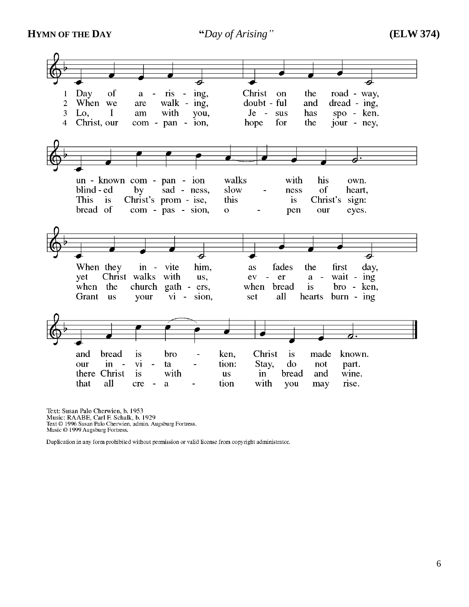**HYMN OF THE DAY "***Day of Arising"* **(ELW 374)**



Text: Susan Palo Cherwien, b. 1953 Lexit: Usain Trans Chernweit, 0.1757<br>Tutsic: RAABE, Carl F. Schalk, b. 1929<br>Text © 1996 Susan Palo Cherwien, admin. Augsburg Fortress.<br>Music © 1999 Augsburg Fortress.

Duplication in any form prohibited without permission or valid license from copyright administrator.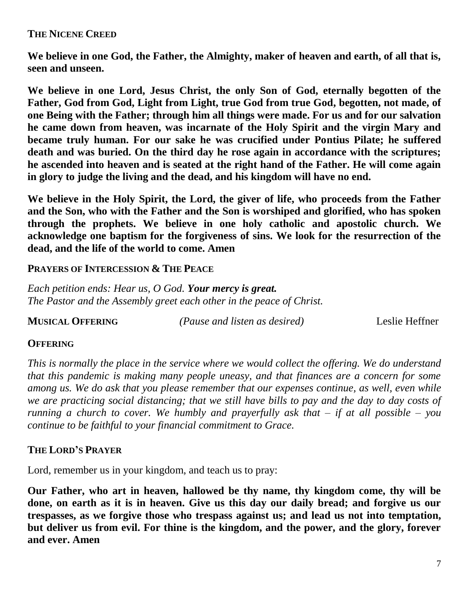### **THE NICENE CREED**

**We believe in one God, the Father, the Almighty, maker of heaven and earth, of all that is, seen and unseen.**

**We believe in one Lord, Jesus Christ, the only Son of God, eternally begotten of the Father, God from God, Light from Light, true God from true God, begotten, not made, of one Being with the Father; through him all things were made. For us and for our salvation he came down from heaven, was incarnate of the Holy Spirit and the virgin Mary and became truly human. For our sake he was crucified under Pontius Pilate; he suffered death and was buried. On the third day he rose again in accordance with the scriptures; he ascended into heaven and is seated at the right hand of the Father. He will come again in glory to judge the living and the dead, and his kingdom will have no end.**

**We believe in the Holy Spirit, the Lord, the giver of life, who proceeds from the Father and the Son, who with the Father and the Son is worshiped and glorified, who has spoken through the prophets. We believe in one holy catholic and apostolic church. We acknowledge one baptism for the forgiveness of sins. We look for the resurrection of the dead, and the life of the world to come. Amen**

### **PRAYERS OF INTERCESSION & THE PEACE**

*Each petition ends: Hear us, O God. Your mercy is great. The Pastor and the Assembly greet each other in the peace of Christ.*

**MUSICAL OFFERING** *(Pause and listen as desired)* Leslie Heffner

### **OFFERING**

*This is normally the place in the service where we would collect the offering. We do understand that this pandemic is making many people uneasy, and that finances are a concern for some among us. We do ask that you please remember that our expenses continue, as well, even while we are practicing social distancing; that we still have bills to pay and the day to day costs of running a church to cover. We humbly and prayerfully ask that – if at all possible – you continue to be faithful to your financial commitment to Grace.* 

### **THE LORD'S PRAYER**

Lord, remember us in your kingdom, and teach us to pray:

**Our Father, who art in heaven, hallowed be thy name, thy kingdom come, thy will be done, on earth as it is in heaven. Give us this day our daily bread; and forgive us our trespasses, as we forgive those who trespass against us; and lead us not into temptation, but deliver us from evil. For thine is the kingdom, and the power, and the glory, forever and ever. Amen**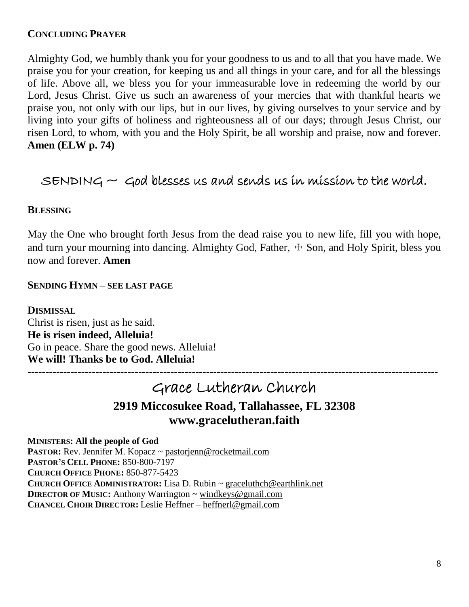### **CONCLUDING PRAYER**

Almighty God, we humbly thank you for your goodness to us and to all that you have made. We praise you for your creation, for keeping us and all things in your care, and for all the blessings of life. Above all, we bless you for your immeasurable love in redeeming the world by our Lord, Jesus Christ. Give us such an awareness of your mercies that with thankful hearts we praise you, not only with our lips, but in our lives, by giving ourselves to your service and by living into your gifts of holiness and righteousness all of our days; through Jesus Christ, our risen Lord, to whom, with you and the Holy Spirit, be all worship and praise, now and forever. **Amen (ELW p. 74)**

## $S$ ENDING  $\sim$  God blesses us and sends us in mission to the world.

### **BLESSING**

May the One who brought forth Jesus from the dead raise you to new life, fill you with hope, and turn your mourning into dancing. Almighty God, Father,  $\pm$  Son, and Holy Spirit, bless you now and forever. **Amen**

### **SENDING HYMN – SEE LAST PAGE**

**DISMISSAL** Christ is risen, just as he said. **He is risen indeed, Alleluia!** Go in peace. Share the good news. Alleluia! **We will! Thanks be to God. Alleluia!**

# Grace Lutheran Church **2919 Miccosukee Road, Tallahassee, FL 32308 www.gracelutheran.faith**

**-------------------------------------------------------------------------------------------------------------------**

**MINISTERS: All the people of God PASTOR:** Rev. Jennifer M. Kopacz ~ [pastorjenn@rocketmail.com](mailto:pastorjenn@rocketmail.com) **PASTOR'S CELL PHONE:** 850-800-7197 **CHURCH OFFICE PHONE:** 850-877-5423 **CHURCH OFFICE ADMINISTRATOR:** Lisa D. Rubin ~ [graceluthch@earthlink.net](mailto:graceluthch@earthlink.net) **DIRECTOR OF MUSIC:** Anthony Warrington ~ [windkeys@gmail.com](mailto:windkeys@gmail.com) **CHANCEL CHOIR DIRECTOR:** Leslie Heffner – [heffnerl@gmail.com](mailto:heffnerl@gmail.com)